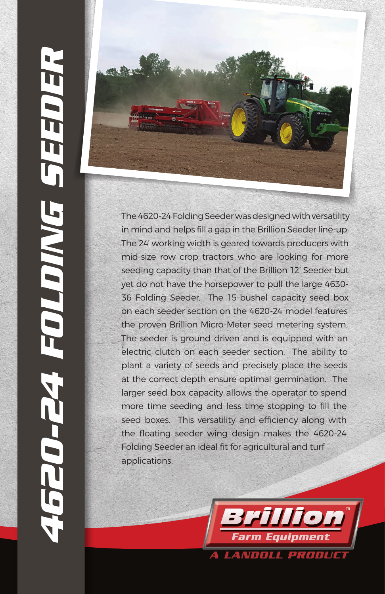

The 4620-24 Folding Seeder was designed with versatility in mind and helps fill a gap in the Brillion Seeder line-up. The 24' working width is geared towards producers with mid-size row crop tractors who are looking for more seeding capacity than that of the Brillion 12' Seeder but yet do not have the horsepower to pull the large 4630- 36 Folding Seeder. The 15-bushel capacity seed box on each seeder section on the 4620-24 model features the proven Brillion Micro-Meter seed metering system. The seeder is ground driven and is equipped with an electric clutch on each seeder section. The ability to plant a variety of seeds and precisely place the seeds at the correct depth ensure optimal germination. The larger seed box capacity allows the operator to spend more time seeding and less time stopping to fill the seed boxes. This versatility and efficiency along with the floating seeder wing design makes the 4620-24 Folding Seeder an ideal fit for agricultural and turf applications.